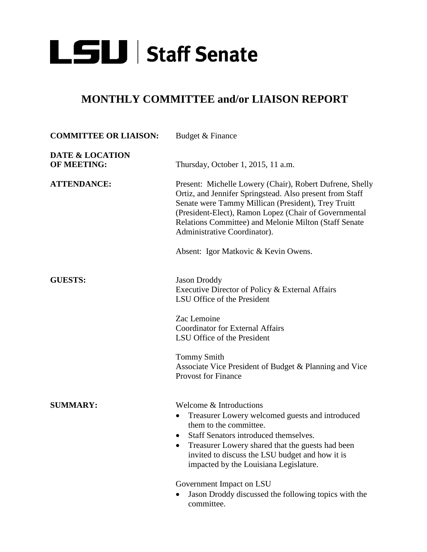

## **MONTHLY COMMITTEE and/or LIAISON REPORT**

| <b>COMMITTEE OR LIAISON:</b>                     | Budget & Finance                                                                                                                                                                                                                                                                                                              |
|--------------------------------------------------|-------------------------------------------------------------------------------------------------------------------------------------------------------------------------------------------------------------------------------------------------------------------------------------------------------------------------------|
| <b>DATE &amp; LOCATION</b><br><b>OF MEETING:</b> | Thursday, October 1, 2015, 11 a.m.                                                                                                                                                                                                                                                                                            |
| <b>ATTENDANCE:</b>                               | Present: Michelle Lowery (Chair), Robert Dufrene, Shelly<br>Ortiz, and Jennifer Springstead. Also present from Staff<br>Senate were Tammy Millican (President), Trey Truitt<br>(President-Elect), Ramon Lopez (Chair of Governmental<br>Relations Committee) and Melonie Milton (Staff Senate<br>Administrative Coordinator). |
|                                                  | Absent: Igor Matkovic & Kevin Owens.                                                                                                                                                                                                                                                                                          |
| <b>GUESTS:</b>                                   | <b>Jason Droddy</b><br>Executive Director of Policy & External Affairs<br>LSU Office of the President                                                                                                                                                                                                                         |
|                                                  | Zac Lemoine<br><b>Coordinator for External Affairs</b><br>LSU Office of the President                                                                                                                                                                                                                                         |
|                                                  | <b>Tommy Smith</b><br>Associate Vice President of Budget & Planning and Vice<br><b>Provost for Finance</b>                                                                                                                                                                                                                    |
| <b>SUMMARY:</b>                                  | Welcome & Introductions<br>Treasurer Lowery welcomed guests and introduced<br>them to the committee.<br>Staff Senators introduced themselves.<br>Treasurer Lowery shared that the guests had been<br>invited to discuss the LSU budget and how it is<br>impacted by the Louisiana Legislature.                                |
|                                                  | Government Impact on LSU<br>Jason Droddy discussed the following topics with the                                                                                                                                                                                                                                              |

committee.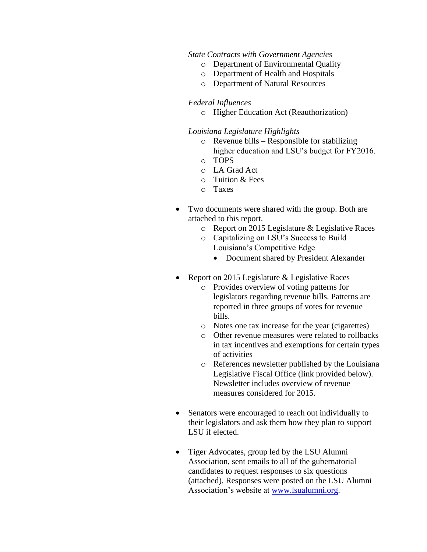## *State Contracts with Government Agencies*

- o Department of Environmental Quality
- o Department of Health and Hospitals
- o Department of Natural Resources

## *Federal Influences*

o Higher Education Act (Reauthorization)

## *Louisiana Legislature Highlights*

- o Revenue bills Responsible for stabilizing higher education and LSU's budget for FY2016.
- o TOPS
- o LA Grad Act
- o Tuition & Fees
- o Taxes
- Two documents were shared with the group. Both are attached to this report.
	- o Report on 2015 Legislature & Legislative Races
	- o Capitalizing on LSU's Success to Build Louisiana's Competitive Edge
		- Document shared by President Alexander
- Report on 2015 Legislature & Legislative Races
	- o Provides overview of voting patterns for legislators regarding revenue bills. Patterns are reported in three groups of votes for revenue bills.
	- o Notes one tax increase for the year (cigarettes)
	- o Other revenue measures were related to rollbacks in tax incentives and exemptions for certain types of activities
	- o References newsletter published by the Louisiana Legislative Fiscal Office (link provided below). Newsletter includes overview of revenue measures considered for 2015.
- Senators were encouraged to reach out individually to their legislators and ask them how they plan to support LSU if elected.
- Tiger Advocates, group led by the LSU Alumni Association, sent emails to all of the gubernatorial candidates to request responses to six questions (attached). Responses were posted on the LSU Alumni Association's website at [www.lsualumni.org.](http://www.lsualumni.org/)